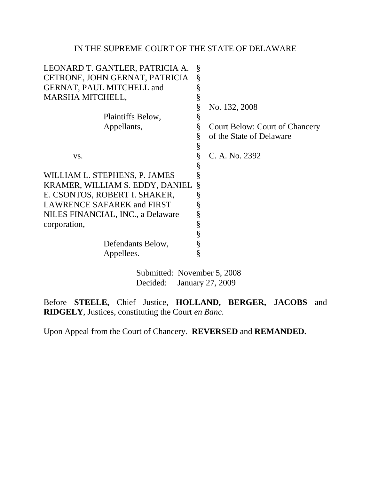# IN THE SUPREME COURT OF THE STATE OF DELAWARE

| LEONARD T. GANTLER, PATRICIA A.   | § |                                       |
|-----------------------------------|---|---------------------------------------|
| CETRONE, JOHN GERNAT, PATRICIA    | § |                                       |
| GERNAT, PAUL MITCHELL and         | § |                                       |
| <b>MARSHA MITCHELL,</b>           | § |                                       |
|                                   | § | No. 132, 2008                         |
| Plaintiffs Below,                 | § |                                       |
| Appellants,                       | § | <b>Court Below: Court of Chancery</b> |
|                                   | § | of the State of Delaware              |
|                                   | § |                                       |
| VS.                               | § | C. A. No. 2392                        |
|                                   | § |                                       |
| WILLIAM L. STEPHENS, P. JAMES     |   |                                       |
| KRAMER, WILLIAM S. EDDY, DANIEL   |   |                                       |
| E. CSONTOS, ROBERT I. SHAKER,     |   |                                       |
| <b>LAWRENCE SAFAREK and FIRST</b> | ş |                                       |
| NILES FINANCIAL, INC., a Delaware | § |                                       |
| corporation,                      | § |                                       |
|                                   | § |                                       |
| Defendants Below,                 | § |                                       |
| Appellees.                        | § |                                       |
|                                   |   |                                       |

 Submitted: November 5, 2008 Decided: January 27, 2009

Before **STEELE,** Chief Justice, **HOLLAND, BERGER, JACOBS** and **RIDGELY**, Justices, constituting the Court *en Banc*.

Upon Appeal from the Court of Chancery. **REVERSED** and **REMANDED.**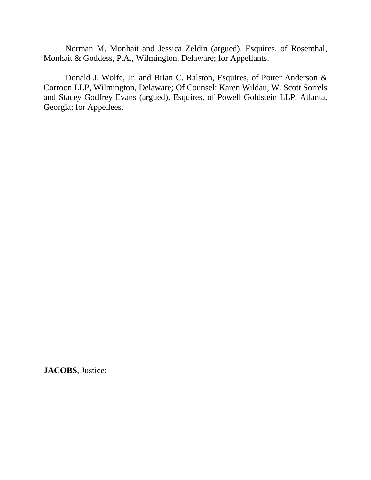Norman M. Monhait and Jessica Zeldin (argued), Esquires, of Rosenthal, Monhait & Goddess, P.A., Wilmington, Delaware; for Appellants.

 Donald J. Wolfe, Jr. and Brian C. Ralston, Esquires, of Potter Anderson & Corroon LLP, Wilmington, Delaware; Of Counsel: Karen Wildau, W. Scott Sorrels and Stacey Godfrey Evans (argued), Esquires, of Powell Goldstein LLP, Atlanta, Georgia; for Appellees.

**JACOBS**, Justice: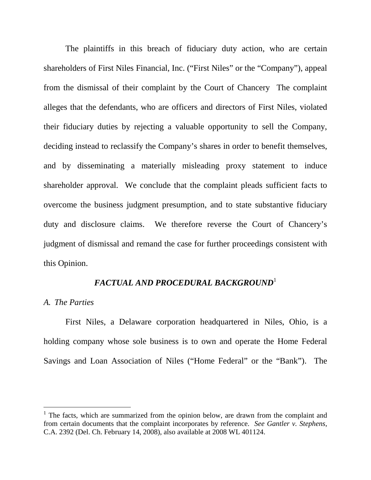The plaintiffs in this breach of fiduciary duty action, who are certain shareholders of First Niles Financial, Inc. ("First Niles" or the "Company"), appeal from the dismissal of their complaint by the Court of Chancery The complaint alleges that the defendants, who are officers and directors of First Niles, violated their fiduciary duties by rejecting a valuable opportunity to sell the Company, deciding instead to reclassify the Company's shares in order to benefit themselves, and by disseminating a materially misleading proxy statement to induce shareholder approval. We conclude that the complaint pleads sufficient facts to overcome the business judgment presumption, and to state substantive fiduciary duty and disclosure claims. We therefore reverse the Court of Chancery's judgment of dismissal and remand the case for further proceedings consistent with this Opinion.

# *FACTUAL AND PROCEDURAL BACKGROUND*<sup>1</sup>

#### *A. The Parties*

-

First Niles, a Delaware corporation headquartered in Niles, Ohio, is a holding company whose sole business is to own and operate the Home Federal Savings and Loan Association of Niles ("Home Federal" or the "Bank"). The

<sup>&</sup>lt;sup>1</sup> The facts, which are summarized from the opinion below, are drawn from the complaint and from certain documents that the complaint incorporates by reference. *See Gantler v. Stephens*, C.A. 2392 (Del. Ch. February 14, 2008), also available at 2008 WL 401124.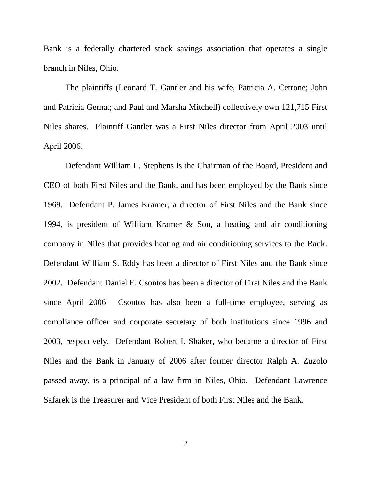Bank is a federally chartered stock savings association that operates a single branch in Niles, Ohio.

The plaintiffs (Leonard T. Gantler and his wife, Patricia A. Cetrone; John and Patricia Gernat; and Paul and Marsha Mitchell) collectively own 121,715 First Niles shares. Plaintiff Gantler was a First Niles director from April 2003 until April 2006.

Defendant William L. Stephens is the Chairman of the Board, President and CEO of both First Niles and the Bank, and has been employed by the Bank since 1969. Defendant P. James Kramer, a director of First Niles and the Bank since 1994, is president of William Kramer & Son, a heating and air conditioning company in Niles that provides heating and air conditioning services to the Bank. Defendant William S. Eddy has been a director of First Niles and the Bank since 2002. Defendant Daniel E. Csontos has been a director of First Niles and the Bank since April 2006. Csontos has also been a full-time employee, serving as compliance officer and corporate secretary of both institutions since 1996 and 2003, respectively. Defendant Robert I. Shaker, who became a director of First Niles and the Bank in January of 2006 after former director Ralph A. Zuzolo passed away, is a principal of a law firm in Niles, Ohio. Defendant Lawrence Safarek is the Treasurer and Vice President of both First Niles and the Bank.

2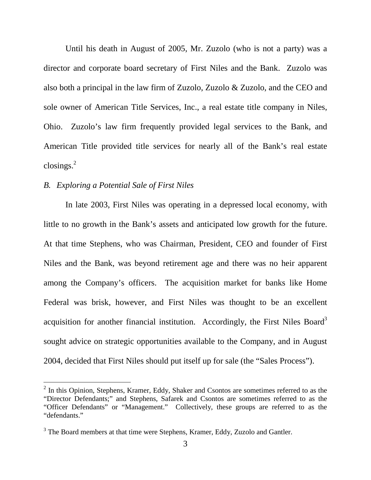Until his death in August of 2005, Mr. Zuzolo (who is not a party) was a director and corporate board secretary of First Niles and the Bank. Zuzolo was also both a principal in the law firm of Zuzolo, Zuzolo & Zuzolo, and the CEO and sole owner of American Title Services, Inc., a real estate title company in Niles, Ohio. Zuzolo's law firm frequently provided legal services to the Bank, and American Title provided title services for nearly all of the Bank's real estate closings.<sup>2</sup>

#### *B. Exploring a Potential Sale of First Niles*

-

In late 2003, First Niles was operating in a depressed local economy, with little to no growth in the Bank's assets and anticipated low growth for the future. At that time Stephens, who was Chairman, President, CEO and founder of First Niles and the Bank, was beyond retirement age and there was no heir apparent among the Company's officers. The acquisition market for banks like Home Federal was brisk, however, and First Niles was thought to be an excellent acquisition for another financial institution. Accordingly, the First Niles Board<sup>3</sup> sought advice on strategic opportunities available to the Company, and in August 2004, decided that First Niles should put itself up for sale (the "Sales Process").

 $2$  In this Opinion, Stephens, Kramer, Eddy, Shaker and Csontos are sometimes referred to as the "Director Defendants;" and Stephens, Safarek and Csontos are sometimes referred to as the "Officer Defendants" or "Management." Collectively, these groups are referred to as the "defendants."

<sup>&</sup>lt;sup>3</sup> The Board members at that time were Stephens, Kramer, Eddy, Zuzolo and Gantler.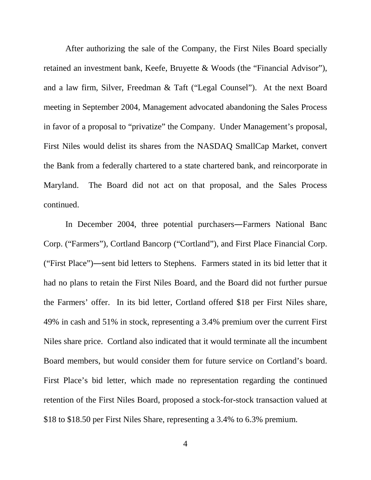After authorizing the sale of the Company, the First Niles Board specially retained an investment bank, Keefe, Bruyette & Woods (the "Financial Advisor"), and a law firm, Silver, Freedman & Taft ("Legal Counsel"). At the next Board meeting in September 2004, Management advocated abandoning the Sales Process in favor of a proposal to "privatize" the Company. Under Management's proposal, First Niles would delist its shares from the NASDAQ SmallCap Market, convert the Bank from a federally chartered to a state chartered bank, and reincorporate in Maryland. The Board did not act on that proposal, and the Sales Process continued.

In December 2004, three potential purchasers―Farmers National Banc Corp. ("Farmers"), Cortland Bancorp ("Cortland"), and First Place Financial Corp. ("First Place")―sent bid letters to Stephens. Farmers stated in its bid letter that it had no plans to retain the First Niles Board, and the Board did not further pursue the Farmers' offer. In its bid letter, Cortland offered \$18 per First Niles share, 49% in cash and 51% in stock, representing a 3.4% premium over the current First Niles share price. Cortland also indicated that it would terminate all the incumbent Board members, but would consider them for future service on Cortland's board. First Place's bid letter, which made no representation regarding the continued retention of the First Niles Board, proposed a stock-for-stock transaction valued at \$18 to \$18.50 per First Niles Share, representing a 3.4% to 6.3% premium.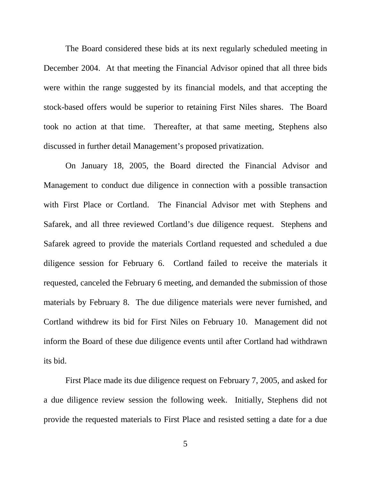The Board considered these bids at its next regularly scheduled meeting in December 2004. At that meeting the Financial Advisor opined that all three bids were within the range suggested by its financial models, and that accepting the stock-based offers would be superior to retaining First Niles shares. The Board took no action at that time. Thereafter, at that same meeting, Stephens also discussed in further detail Management's proposed privatization.

On January 18, 2005, the Board directed the Financial Advisor and Management to conduct due diligence in connection with a possible transaction with First Place or Cortland. The Financial Advisor met with Stephens and Safarek, and all three reviewed Cortland's due diligence request. Stephens and Safarek agreed to provide the materials Cortland requested and scheduled a due diligence session for February 6. Cortland failed to receive the materials it requested, canceled the February 6 meeting, and demanded the submission of those materials by February 8. The due diligence materials were never furnished, and Cortland withdrew its bid for First Niles on February 10. Management did not inform the Board of these due diligence events until after Cortland had withdrawn its bid.

First Place made its due diligence request on February 7, 2005, and asked for a due diligence review session the following week. Initially, Stephens did not provide the requested materials to First Place and resisted setting a date for a due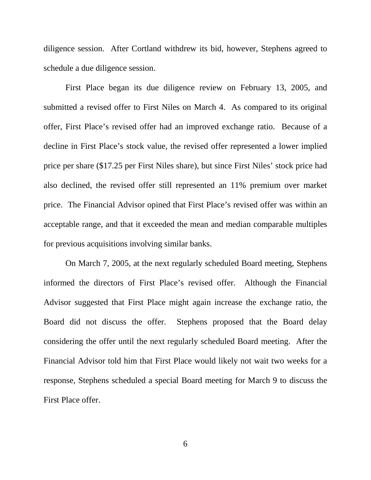diligence session. After Cortland withdrew its bid, however, Stephens agreed to schedule a due diligence session.

First Place began its due diligence review on February 13, 2005, and submitted a revised offer to First Niles on March 4. As compared to its original offer, First Place's revised offer had an improved exchange ratio. Because of a decline in First Place's stock value, the revised offer represented a lower implied price per share (\$17.25 per First Niles share), but since First Niles' stock price had also declined, the revised offer still represented an 11% premium over market price. The Financial Advisor opined that First Place's revised offer was within an acceptable range, and that it exceeded the mean and median comparable multiples for previous acquisitions involving similar banks.

On March 7, 2005, at the next regularly scheduled Board meeting, Stephens informed the directors of First Place's revised offer. Although the Financial Advisor suggested that First Place might again increase the exchange ratio, the Board did not discuss the offer. Stephens proposed that the Board delay considering the offer until the next regularly scheduled Board meeting. After the Financial Advisor told him that First Place would likely not wait two weeks for a response, Stephens scheduled a special Board meeting for March 9 to discuss the First Place offer.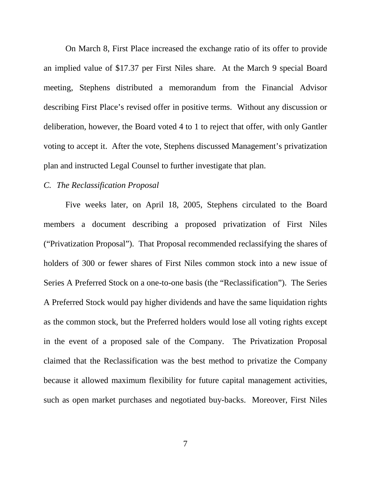On March 8, First Place increased the exchange ratio of its offer to provide an implied value of \$17.37 per First Niles share. At the March 9 special Board meeting, Stephens distributed a memorandum from the Financial Advisor describing First Place's revised offer in positive terms. Without any discussion or deliberation, however, the Board voted 4 to 1 to reject that offer, with only Gantler voting to accept it. After the vote, Stephens discussed Management's privatization plan and instructed Legal Counsel to further investigate that plan.

#### *C. The Reclassification Proposal*

Five weeks later, on April 18, 2005, Stephens circulated to the Board members a document describing a proposed privatization of First Niles ("Privatization Proposal"). That Proposal recommended reclassifying the shares of holders of 300 or fewer shares of First Niles common stock into a new issue of Series A Preferred Stock on a one-to-one basis (the "Reclassification"). The Series A Preferred Stock would pay higher dividends and have the same liquidation rights as the common stock, but the Preferred holders would lose all voting rights except in the event of a proposed sale of the Company. The Privatization Proposal claimed that the Reclassification was the best method to privatize the Company because it allowed maximum flexibility for future capital management activities, such as open market purchases and negotiated buy-backs. Moreover, First Niles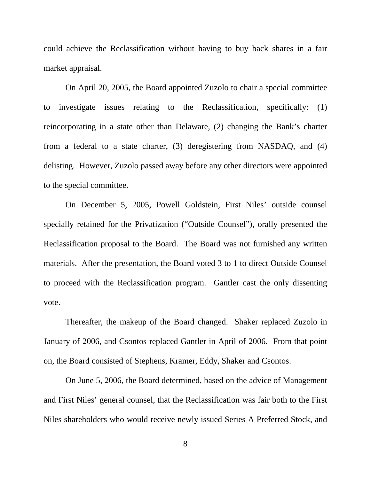could achieve the Reclassification without having to buy back shares in a fair market appraisal.

On April 20, 2005, the Board appointed Zuzolo to chair a special committee to investigate issues relating to the Reclassification, specifically: (1) reincorporating in a state other than Delaware, (2) changing the Bank's charter from a federal to a state charter, (3) deregistering from NASDAQ, and (4) delisting. However, Zuzolo passed away before any other directors were appointed to the special committee.

On December 5, 2005, Powell Goldstein, First Niles' outside counsel specially retained for the Privatization ("Outside Counsel"), orally presented the Reclassification proposal to the Board. The Board was not furnished any written materials. After the presentation, the Board voted 3 to 1 to direct Outside Counsel to proceed with the Reclassification program. Gantler cast the only dissenting vote.

Thereafter, the makeup of the Board changed. Shaker replaced Zuzolo in January of 2006, and Csontos replaced Gantler in April of 2006. From that point on, the Board consisted of Stephens, Kramer, Eddy, Shaker and Csontos.

On June 5, 2006, the Board determined, based on the advice of Management and First Niles' general counsel, that the Reclassification was fair both to the First Niles shareholders who would receive newly issued Series A Preferred Stock, and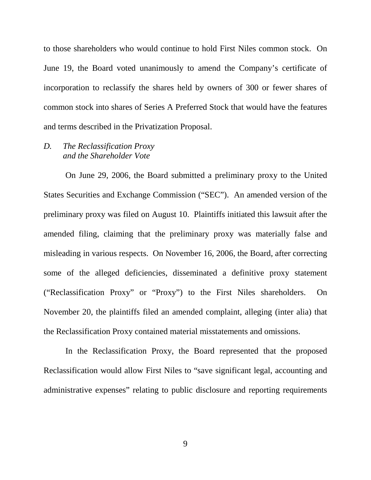to those shareholders who would continue to hold First Niles common stock. On June 19, the Board voted unanimously to amend the Company's certificate of incorporation to reclassify the shares held by owners of 300 or fewer shares of common stock into shares of Series A Preferred Stock that would have the features and terms described in the Privatization Proposal.

### *D. The Reclassification Proxy and the Shareholder Vote*

 On June 29, 2006, the Board submitted a preliminary proxy to the United States Securities and Exchange Commission ("SEC"). An amended version of the preliminary proxy was filed on August 10. Plaintiffs initiated this lawsuit after the amended filing, claiming that the preliminary proxy was materially false and misleading in various respects. On November 16, 2006, the Board, after correcting some of the alleged deficiencies, disseminated a definitive proxy statement ("Reclassification Proxy" or "Proxy") to the First Niles shareholders. On November 20, the plaintiffs filed an amended complaint, alleging (inter alia) that the Reclassification Proxy contained material misstatements and omissions.

 In the Reclassification Proxy, the Board represented that the proposed Reclassification would allow First Niles to "save significant legal, accounting and administrative expenses" relating to public disclosure and reporting requirements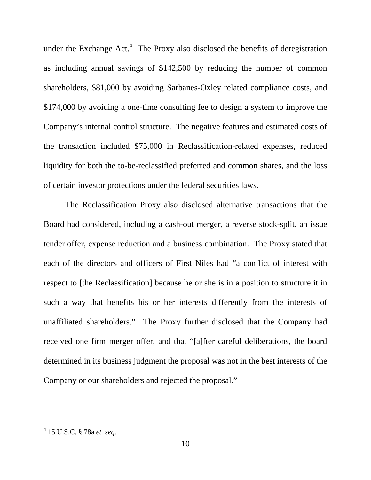under the Exchange  $Act<sup>4</sup>$ . The Proxy also disclosed the benefits of deregistration as including annual savings of \$142,500 by reducing the number of common shareholders, \$81,000 by avoiding Sarbanes-Oxley related compliance costs, and \$174,000 by avoiding a one-time consulting fee to design a system to improve the Company's internal control structure. The negative features and estimated costs of the transaction included \$75,000 in Reclassification-related expenses, reduced liquidity for both the to-be-reclassified preferred and common shares, and the loss of certain investor protections under the federal securities laws.

The Reclassification Proxy also disclosed alternative transactions that the Board had considered, including a cash-out merger, a reverse stock-split, an issue tender offer, expense reduction and a business combination. The Proxy stated that each of the directors and officers of First Niles had "a conflict of interest with respect to [the Reclassification] because he or she is in a position to structure it in such a way that benefits his or her interests differently from the interests of unaffiliated shareholders." The Proxy further disclosed that the Company had received one firm merger offer, and that "[a]fter careful deliberations, the board determined in its business judgment the proposal was not in the best interests of the Company or our shareholders and rejected the proposal."

 4 15 U.S.C. § 78a *et. seq.*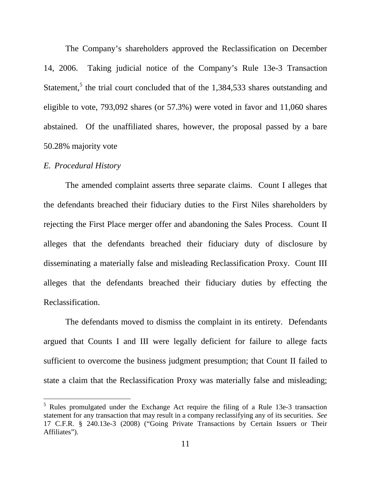The Company's shareholders approved the Reclassification on December 14, 2006. Taking judicial notice of the Company's Rule 13e-3 Transaction Statement,<sup>5</sup> the trial court concluded that of the  $1,384,533$  shares outstanding and eligible to vote, 793,092 shares (or 57.3%) were voted in favor and 11,060 shares abstained. Of the unaffiliated shares, however, the proposal passed by a bare 50.28% majority vote

#### *E. Procedural History*

The amended complaint asserts three separate claims. Count I alleges that the defendants breached their fiduciary duties to the First Niles shareholders by rejecting the First Place merger offer and abandoning the Sales Process. Count II alleges that the defendants breached their fiduciary duty of disclosure by disseminating a materially false and misleading Reclassification Proxy. Count III alleges that the defendants breached their fiduciary duties by effecting the Reclassification.

The defendants moved to dismiss the complaint in its entirety. Defendants argued that Counts I and III were legally deficient for failure to allege facts sufficient to overcome the business judgment presumption; that Count II failed to state a claim that the Reclassification Proxy was materially false and misleading;

<sup>&</sup>lt;sup>5</sup> Rules promulgated under the Exchange Act require the filing of a Rule 13e-3 transaction statement for any transaction that may result in a company reclassifying any of its securities. *See*  17 C.F.R. § 240.13e-3 (2008) ("Going Private Transactions by Certain Issuers or Their Affiliates").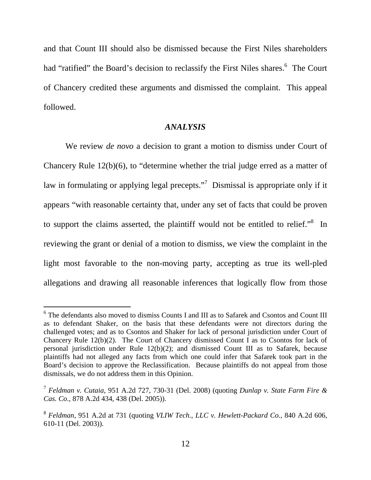and that Count III should also be dismissed because the First Niles shareholders had "ratified" the Board's decision to reclassify the First Niles shares.<sup>6</sup> The Court of Chancery credited these arguments and dismissed the complaint. This appeal followed.

#### *ANALYSIS*

We review *de novo* a decision to grant a motion to dismiss under Court of Chancery Rule 12(b)(6), to "determine whether the trial judge erred as a matter of law in formulating or applying legal precepts."<sup>7</sup> Dismissal is appropriate only if it appears "with reasonable certainty that, under any set of facts that could be proven to support the claims asserted, the plaintiff would not be entitled to relief."<sup>8</sup> In reviewing the grant or denial of a motion to dismiss, we view the complaint in the light most favorable to the non-moving party, accepting as true its well-pled allegations and drawing all reasonable inferences that logically flow from those

 $\overline{a}$ 

<sup>&</sup>lt;sup>6</sup> The defendants also moved to dismiss Counts I and III as to Safarek and Csontos and Count III as to defendant Shaker, on the basis that these defendants were not directors during the challenged votes; and as to Csontos and Shaker for lack of personal jurisdiction under Court of Chancery Rule 12(b)(2). The Court of Chancery dismissed Count I as to Csontos for lack of personal jurisdiction under Rule 12(b)(2); and dismissed Count III as to Safarek, because plaintiffs had not alleged any facts from which one could infer that Safarek took part in the Board's decision to approve the Reclassification. Because plaintiffs do not appeal from those dismissals, we do not address them in this Opinion.

<sup>7</sup> *Feldman v. Cutaia*, 951 A.2d 727, 730-31 (Del. 2008) (quoting *Dunlap v. State Farm Fire & Cas. Co.*, 878 A.2d 434, 438 (Del. 2005)).

<sup>8</sup> *Feldman*, 951 A.2d at 731 (quoting *VLIW Tech., LLC v. Hewlett-Packard Co.*, 840 A.2d 606, 610-11 (Del. 2003)).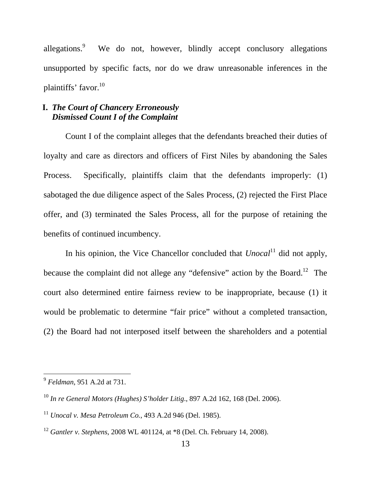allegations.<sup>9</sup> We do not, however, blindly accept conclusory allegations unsupported by specific facts, nor do we draw unreasonable inferences in the plaintiffs' favor.<sup>10</sup>

# **I.** *The Court of Chancery Erroneously Dismissed Count I of the Complaint*

Count I of the complaint alleges that the defendants breached their duties of loyalty and care as directors and officers of First Niles by abandoning the Sales Process. Specifically, plaintiffs claim that the defendants improperly: (1) sabotaged the due diligence aspect of the Sales Process, (2) rejected the First Place offer, and (3) terminated the Sales Process, all for the purpose of retaining the benefits of continued incumbency.

In his opinion, the Vice Chancellor concluded that *Unocal*<sup>11</sup> did not apply, because the complaint did not allege any "defensive" action by the Board.<sup>12</sup> The court also determined entire fairness review to be inappropriate, because (1) it would be problematic to determine "fair price" without a completed transaction, (2) the Board had not interposed itself between the shareholders and a potential

 9 *Feldman*, 951 A.2d at 731.

<sup>10</sup> *In re General Motors (Hughes) S'holder Litig*., 897 A.2d 162, 168 (Del. 2006).

<sup>11</sup> *Unocal v. Mesa Petroleum Co.*, 493 A.2d 946 (Del. 1985).

<sup>12</sup> *Gantler v. Stephens*, 2008 WL 401124, at \*8 (Del. Ch. February 14, 2008).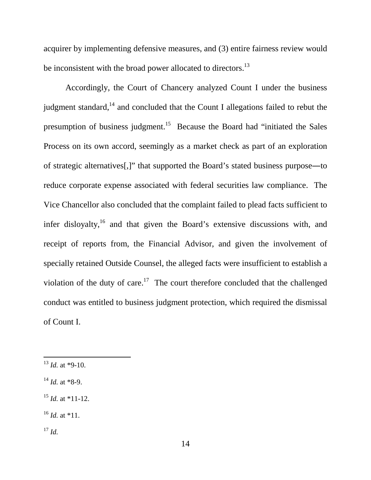acquirer by implementing defensive measures, and (3) entire fairness review would be inconsistent with the broad power allocated to directors.<sup>13</sup>

Accordingly, the Court of Chancery analyzed Count I under the business iudgment standard,  $14$  and concluded that the Count I allegations failed to rebut the presumption of business judgment.<sup>15</sup> Because the Board had "initiated the Sales Process on its own accord, seemingly as a market check as part of an exploration of strategic alternatives[,]" that supported the Board's stated business purpose―to reduce corporate expense associated with federal securities law compliance. The Vice Chancellor also concluded that the complaint failed to plead facts sufficient to infer disloyalty, $16$  and that given the Board's extensive discussions with, and receipt of reports from, the Financial Advisor, and given the involvement of specially retained Outside Counsel, the alleged facts were insufficient to establish a violation of the duty of care.<sup>17</sup> The court therefore concluded that the challenged conduct was entitled to business judgment protection, which required the dismissal of Count I.

- $15$  *Id.* at \*11-12.
- $^{16}$  *Id.* at \*11.

 $^{17}$  *Id.* 

 $^{13}$  *Id.* at \*9-10.

<sup>14</sup> *Id.* at \*8-9.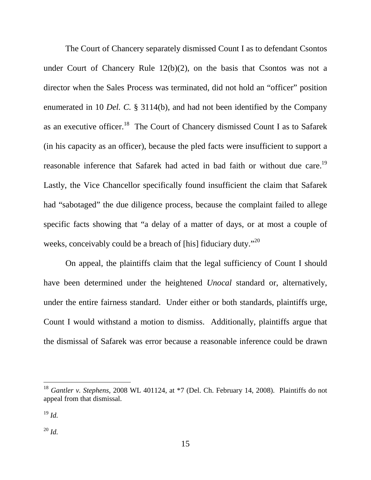The Court of Chancery separately dismissed Count I as to defendant Csontos under Court of Chancery Rule  $12(b)(2)$ , on the basis that Csontos was not a director when the Sales Process was terminated, did not hold an "officer" position enumerated in 10 *Del. C.* § 3114(b), and had not been identified by the Company as an executive officer.<sup>18</sup> The Court of Chancery dismissed Count I as to Safarek (in his capacity as an officer), because the pled facts were insufficient to support a reasonable inference that Safarek had acted in bad faith or without due care.<sup>19</sup> Lastly, the Vice Chancellor specifically found insufficient the claim that Safarek had "sabotaged" the due diligence process, because the complaint failed to allege specific facts showing that "a delay of a matter of days, or at most a couple of weeks, conceivably could be a breach of [his] fiduciary duty."<sup>20</sup>

On appeal, the plaintiffs claim that the legal sufficiency of Count I should have been determined under the heightened *Unocal* standard or, alternatively, under the entire fairness standard. Under either or both standards, plaintiffs urge, Count I would withstand a motion to dismiss. Additionally, plaintiffs argue that the dismissal of Safarek was error because a reasonable inference could be drawn

<sup>&</sup>lt;sup>18</sup> Gantler v. Stephens, 2008 WL 401124, at \*7 (Del. Ch. February 14, 2008). Plaintiffs do not appeal from that dismissal.

<sup>19</sup> *Id.*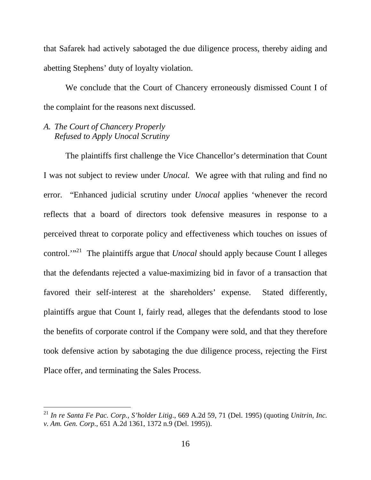that Safarek had actively sabotaged the due diligence process, thereby aiding and abetting Stephens' duty of loyalty violation.

We conclude that the Court of Chancery erroneously dismissed Count I of the complaint for the reasons next discussed.

# *A. The Court of Chancery Properly Refused to Apply Unocal Scrutiny*

-

The plaintiffs first challenge the Vice Chancellor's determination that Count I was not subject to review under *Unocal.* We agree with that ruling and find no error. "Enhanced judicial scrutiny under *Unocal* applies 'whenever the record reflects that a board of directors took defensive measures in response to a perceived threat to corporate policy and effectiveness which touches on issues of control.'"<sup>21</sup> The plaintiffs argue that *Unocal* should apply because Count I alleges that the defendants rejected a value-maximizing bid in favor of a transaction that favored their self-interest at the shareholders' expense. Stated differently, plaintiffs argue that Count I, fairly read, alleges that the defendants stood to lose the benefits of corporate control if the Company were sold, and that they therefore took defensive action by sabotaging the due diligence process, rejecting the First Place offer, and terminating the Sales Process.

<sup>21</sup> *In re Santa Fe Pac. Corp., S'holder Litig*., 669 A.2d 59, 71 (Del. 1995) (quoting *Unitrin, Inc. v. Am. Gen. Corp*., 651 A.2d 1361, 1372 n.9 (Del. 1995)).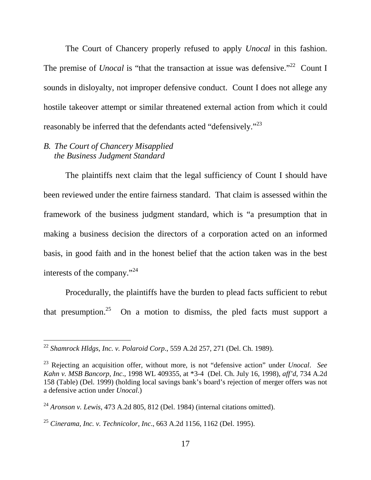The Court of Chancery properly refused to apply *Unocal* in this fashion. The premise of *Unocal* is "that the transaction at issue was defensive."<sup>22</sup> Count I sounds in disloyalty, not improper defensive conduct. Count I does not allege any hostile takeover attempt or similar threatened external action from which it could reasonably be inferred that the defendants acted "defensively."<sup>23</sup>

## *B. The Court of Chancery Misapplied the Business Judgment Standard*

-

The plaintiffs next claim that the legal sufficiency of Count I should have been reviewed under the entire fairness standard. That claim is assessed within the framework of the business judgment standard, which is "a presumption that in making a business decision the directors of a corporation acted on an informed basis, in good faith and in the honest belief that the action taken was in the best interests of the company."<sup>24</sup>

Procedurally, the plaintiffs have the burden to plead facts sufficient to rebut that presumption.<sup>25</sup> On a motion to dismiss, the pled facts must support a

<sup>22</sup> *Shamrock Hldgs, Inc. v. Polaroid Corp*., 559 A.2d 257, 271 (Del. Ch. 1989).

<sup>23</sup> Rejecting an acquisition offer, without more, is not "defensive action" under *Unocal*. *See Kahn v. MSB Bancorp, Inc*., 1998 WL 409355, at \*3-4 (Del. Ch. July 16, 1998), *aff'd*, 734 A.2d 158 (Table) (Del. 1999) (holding local savings bank's board's rejection of merger offers was not a defensive action under *Unocal*.)

<sup>24</sup> *Aronson v. Lewis*, 473 A.2d 805, 812 (Del. 1984) (internal citations omitted).

<sup>25</sup> *Cinerama, Inc. v. Technicolor, Inc*., 663 A.2d 1156, 1162 (Del. 1995).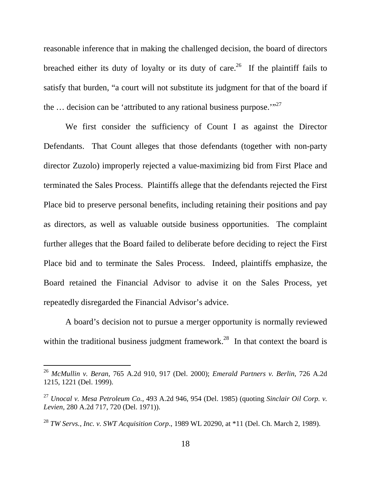reasonable inference that in making the challenged decision, the board of directors breached either its duty of loyalty or its duty of care.<sup>26</sup> If the plaintiff fails to satisfy that burden, "a court will not substitute its judgment for that of the board if the  $\ldots$  decision can be 'attributed to any rational business purpose."<sup>27</sup>

We first consider the sufficiency of Count I as against the Director Defendants. That Count alleges that those defendants (together with non-party director Zuzolo) improperly rejected a value-maximizing bid from First Place and terminated the Sales Process. Plaintiffs allege that the defendants rejected the First Place bid to preserve personal benefits, including retaining their positions and pay as directors, as well as valuable outside business opportunities. The complaint further alleges that the Board failed to deliberate before deciding to reject the First Place bid and to terminate the Sales Process. Indeed, plaintiffs emphasize, the Board retained the Financial Advisor to advise it on the Sales Process, yet repeatedly disregarded the Financial Advisor's advice.

A board's decision not to pursue a merger opportunity is normally reviewed within the traditional business judgment framework.<sup>28</sup> In that context the board is

 $\overline{a}$ 

<sup>26</sup> *McMullin v. Beran*, 765 A.2d 910, 917 (Del. 2000); *Emerald Partners v. Berlin*, 726 A.2d 1215, 1221 (Del. 1999).

<sup>27</sup> *Unocal v. Mesa Petroleum Co.*, 493 A.2d 946, 954 (Del. 1985) (quoting *Sinclair Oil Corp. v. Levien*, 280 A.2d 717, 720 (Del. 1971)).

<sup>28</sup> *TW Servs., Inc. v. SWT Acquisition Corp*., 1989 WL 20290, at \*11 (Del. Ch. March 2, 1989).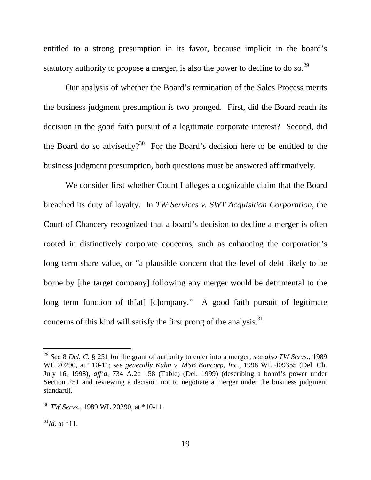entitled to a strong presumption in its favor, because implicit in the board's statutory authority to propose a merger, is also the power to decline to do so.<sup>29</sup>

Our analysis of whether the Board's termination of the Sales Process merits the business judgment presumption is two pronged. First, did the Board reach its decision in the good faith pursuit of a legitimate corporate interest? Second, did the Board do so advisedly? $30$  For the Board's decision here to be entitled to the business judgment presumption, both questions must be answered affirmatively.

We consider first whether Count I alleges a cognizable claim that the Board breached its duty of loyalty. In *TW Services v. SWT Acquisition Corporation*, the Court of Chancery recognized that a board's decision to decline a merger is often rooted in distinctively corporate concerns, such as enhancing the corporation's long term share value, or "a plausible concern that the level of debt likely to be borne by [the target company] following any merger would be detrimental to the long term function of th[at] [c]ompany." A good faith pursuit of legitimate concerns of this kind will satisfy the first prong of the analysis. $31$ 

 $^{31}$ *Id.* at \*11.

<sup>29</sup> *See* 8 *Del. C.* § 251 for the grant of authority to enter into a merger; *see also TW Servs.*, 1989 WL 20290, at \*10-11; *see generally Kahn v. MSB Bancorp, Inc.*, 1998 WL 409355 (Del. Ch. July 16, 1998), *aff'd*, 734 A.2d 158 (Table) (Del. 1999) (describing a board's power under Section 251 and reviewing a decision not to negotiate a merger under the business judgment standard).

<sup>30</sup> *TW Servs.,* 1989 WL 20290, at \*10-11.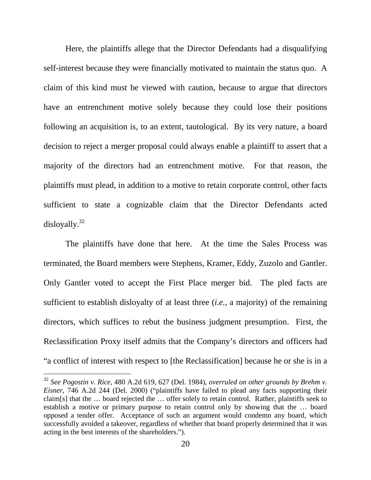Here, the plaintiffs allege that the Director Defendants had a disqualifying self-interest because they were financially motivated to maintain the status quo. A claim of this kind must be viewed with caution, because to argue that directors have an entrenchment motive solely because they could lose their positions following an acquisition is, to an extent, tautological. By its very nature, a board decision to reject a merger proposal could always enable a plaintiff to assert that a majority of the directors had an entrenchment motive. For that reason, the plaintiffs must plead, in addition to a motive to retain corporate control, other facts sufficient to state a cognizable claim that the Director Defendants acted disloyally.<sup>32</sup>

The plaintiffs have done that here. At the time the Sales Process was terminated, the Board members were Stephens, Kramer, Eddy, Zuzolo and Gantler. Only Gantler voted to accept the First Place merger bid. The pled facts are sufficient to establish disloyalty of at least three (*i.e.*, a majority) of the remaining directors, which suffices to rebut the business judgment presumption. First, the Reclassification Proxy itself admits that the Company's directors and officers had "a conflict of interest with respect to [the Reclassification] because he or she is in a

<sup>32</sup> *See Pogostin v. Rice*, 480 A.2d 619, 627 (Del. 1984), *overruled on other grounds by Brehm v. Eisner*, 746 A.2d 244 (Del. 2000) ("plaintiffs have failed to plead any facts supporting their claim[s] that the … board rejected the … offer solely to retain control. Rather, plaintiffs seek to establish a motive or primary purpose to retain control only by showing that the … board opposed a tender offer. Acceptance of such an argument would condemn any board, which successfully avoided a takeover, regardless of whether that board properly determined that it was acting in the best interests of the shareholders.").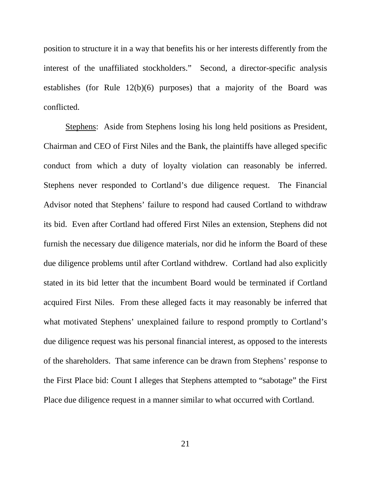position to structure it in a way that benefits his or her interests differently from the interest of the unaffiliated stockholders." Second, a director-specific analysis establishes (for Rule 12(b)(6) purposes) that a majority of the Board was conflicted.

Stephens: Aside from Stephens losing his long held positions as President, Chairman and CEO of First Niles and the Bank, the plaintiffs have alleged specific conduct from which a duty of loyalty violation can reasonably be inferred. Stephens never responded to Cortland's due diligence request. The Financial Advisor noted that Stephens' failure to respond had caused Cortland to withdraw its bid. Even after Cortland had offered First Niles an extension, Stephens did not furnish the necessary due diligence materials, nor did he inform the Board of these due diligence problems until after Cortland withdrew. Cortland had also explicitly stated in its bid letter that the incumbent Board would be terminated if Cortland acquired First Niles. From these alleged facts it may reasonably be inferred that what motivated Stephens' unexplained failure to respond promptly to Cortland's due diligence request was his personal financial interest, as opposed to the interests of the shareholders. That same inference can be drawn from Stephens' response to the First Place bid: Count I alleges that Stephens attempted to "sabotage" the First Place due diligence request in a manner similar to what occurred with Cortland.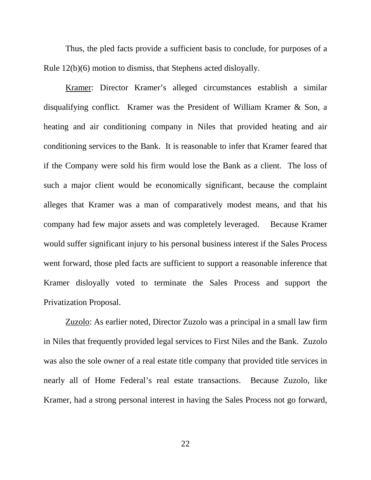Thus, the pled facts provide a sufficient basis to conclude, for purposes of a Rule 12(b)(6) motion to dismiss, that Stephens acted disloyally.

Kramer: Director Kramer's alleged circumstances establish a similar disqualifying conflict. Kramer was the President of William Kramer & Son, a heating and air conditioning company in Niles that provided heating and air conditioning services to the Bank. It is reasonable to infer that Kramer feared that if the Company were sold his firm would lose the Bank as a client. The loss of such a major client would be economically significant, because the complaint alleges that Kramer was a man of comparatively modest means, and that his company had few major assets and was completely leveraged. Because Kramer would suffer significant injury to his personal business interest if the Sales Process went forward, those pled facts are sufficient to support a reasonable inference that Kramer disloyally voted to terminate the Sales Process and support the Privatization Proposal.

Zuzolo: As earlier noted, Director Zuzolo was a principal in a small law firm in Niles that frequently provided legal services to First Niles and the Bank. Zuzolo was also the sole owner of a real estate title company that provided title services in nearly all of Home Federal's real estate transactions. Because Zuzolo, like Kramer, had a strong personal interest in having the Sales Process not go forward,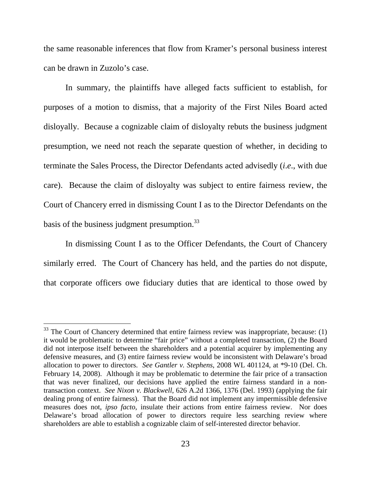the same reasonable inferences that flow from Kramer's personal business interest can be drawn in Zuzolo's case.

In summary, the plaintiffs have alleged facts sufficient to establish, for purposes of a motion to dismiss, that a majority of the First Niles Board acted disloyally. Because a cognizable claim of disloyalty rebuts the business judgment presumption, we need not reach the separate question of whether, in deciding to terminate the Sales Process, the Director Defendants acted advisedly (*i*.*e*., with due care). Because the claim of disloyalty was subject to entire fairness review, the Court of Chancery erred in dismissing Count I as to the Director Defendants on the basis of the business judgment presumption.<sup>33</sup>

In dismissing Count I as to the Officer Defendants, the Court of Chancery similarly erred. The Court of Chancery has held, and the parties do not dispute, that corporate officers owe fiduciary duties that are identical to those owed by

 $33$  The Court of Chancery determined that entire fairness review was inappropriate, because: (1) it would be problematic to determine "fair price" without a completed transaction, (2) the Board did not interpose itself between the shareholders and a potential acquirer by implementing any defensive measures, and (3) entire fairness review would be inconsistent with Delaware's broad allocation to power to directors. *See Gantler v. Stephens*, 2008 WL 401124, at \*9-10 (Del. Ch. February 14, 2008). Although it may be problematic to determine the fair price of a transaction that was never finalized, our decisions have applied the entire fairness standard in a nontransaction context. *See Nixon v. Blackwell*, 626 A.2d 1366, 1376 (Del. 1993) (applying the fair dealing prong of entire fairness). That the Board did not implement any impermissible defensive measures does not, *ipso facto*, insulate their actions from entire fairness review. Nor does Delaware's broad allocation of power to directors require less searching review where shareholders are able to establish a cognizable claim of self-interested director behavior.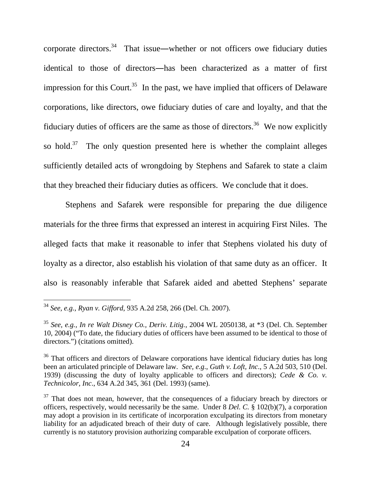corporate directors.<sup>34</sup> That issue—whether or not officers owe fiduciary duties identical to those of directors―has been characterized as a matter of first impression for this Court.<sup>35</sup> In the past, we have implied that officers of Delaware corporations, like directors, owe fiduciary duties of care and loyalty, and that the fiduciary duties of officers are the same as those of directors.<sup>36</sup> We now explicitly so hold. $37$  The only question presented here is whether the complaint alleges sufficiently detailed acts of wrongdoing by Stephens and Safarek to state a claim that they breached their fiduciary duties as officers. We conclude that it does.

Stephens and Safarek were responsible for preparing the due diligence materials for the three firms that expressed an interest in acquiring First Niles. The alleged facts that make it reasonable to infer that Stephens violated his duty of loyalty as a director, also establish his violation of that same duty as an officer. It also is reasonably inferable that Safarek aided and abetted Stephens' separate

 $\overline{a}$ 

<sup>34</sup> *See, e.g., Ryan v. Gifford*, 935 A.2d 258, 266 (Del. Ch. 2007).

<sup>35</sup> *See, e.g., In re Walt Disney Co., Deriv. Litig.*, 2004 WL 2050138, at \*3 (Del. Ch. September 10, 2004) ("To date, the fiduciary duties of officers have been assumed to be identical to those of directors.") (citations omitted).

<sup>&</sup>lt;sup>36</sup> That officers and directors of Delaware corporations have identical fiduciary duties has long been an articulated principle of Delaware law. *See, e.g*., *Guth v. Loft, Inc*., 5 A.2d 503, 510 (Del. 1939) (discussing the duty of loyalty applicable to officers and directors); *Cede & Co. v. Technicolor, Inc*., 634 A.2d 345, 361 (Del. 1993) (same).

 $37$  That does not mean, however, that the consequences of a fiduciary breach by directors or officers, respectively, would necessarily be the same. Under 8 *Del. C.* § 102(b)(7), a corporation may adopt a provision in its certificate of incorporation exculpating its directors from monetary liability for an adjudicated breach of their duty of care. Although legislatively possible, there currently is no statutory provision authorizing comparable exculpation of corporate officers.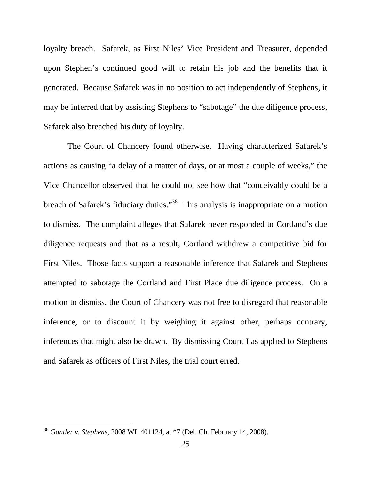loyalty breach. Safarek, as First Niles' Vice President and Treasurer, depended upon Stephen's continued good will to retain his job and the benefits that it generated. Because Safarek was in no position to act independently of Stephens, it may be inferred that by assisting Stephens to "sabotage" the due diligence process, Safarek also breached his duty of loyalty.

 The Court of Chancery found otherwise. Having characterized Safarek's actions as causing "a delay of a matter of days, or at most a couple of weeks," the Vice Chancellor observed that he could not see how that "conceivably could be a breach of Safarek's fiduciary duties."<sup>38</sup> This analysis is inappropriate on a motion to dismiss. The complaint alleges that Safarek never responded to Cortland's due diligence requests and that as a result, Cortland withdrew a competitive bid for First Niles. Those facts support a reasonable inference that Safarek and Stephens attempted to sabotage the Cortland and First Place due diligence process. On a motion to dismiss, the Court of Chancery was not free to disregard that reasonable inference, or to discount it by weighing it against other, perhaps contrary, inferences that might also be drawn. By dismissing Count I as applied to Stephens and Safarek as officers of First Niles, the trial court erred.

<sup>38</sup> *Gantler v. Stephens*, 2008 WL 401124, at \*7 (Del. Ch. February 14, 2008).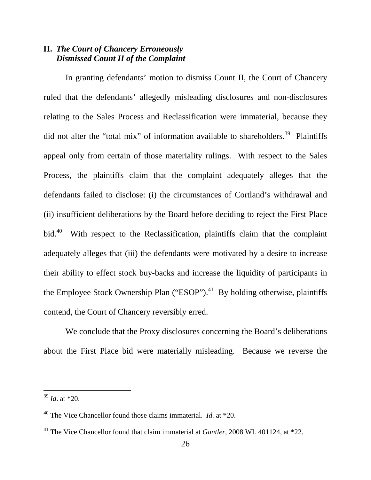# **II.** *The Court of Chancery Erroneously Dismissed Count II of the Complaint*

In granting defendants' motion to dismiss Count II, the Court of Chancery ruled that the defendants' allegedly misleading disclosures and non-disclosures relating to the Sales Process and Reclassification were immaterial, because they did not alter the "total mix" of information available to shareholders.<sup>39</sup> Plaintiffs appeal only from certain of those materiality rulings. With respect to the Sales Process, the plaintiffs claim that the complaint adequately alleges that the defendants failed to disclose: (i) the circumstances of Cortland's withdrawal and (ii) insufficient deliberations by the Board before deciding to reject the First Place bid.<sup>40</sup> With respect to the Reclassification, plaintiffs claim that the complaint adequately alleges that (iii) the defendants were motivated by a desire to increase their ability to effect stock buy-backs and increase the liquidity of participants in the Employee Stock Ownership Plan ("ESOP"). $41$  By holding otherwise, plaintiffs contend, the Court of Chancery reversibly erred.

We conclude that the Proxy disclosures concerning the Board's deliberations about the First Place bid were materially misleading. Because we reverse the

<sup>39</sup> *Id*. at \*20.

<sup>40</sup> The Vice Chancellor found those claims immaterial. *Id.* at \*20.

<sup>41</sup> The Vice Chancellor found that claim immaterial at *Gantler*, 2008 WL 401124, at \*22.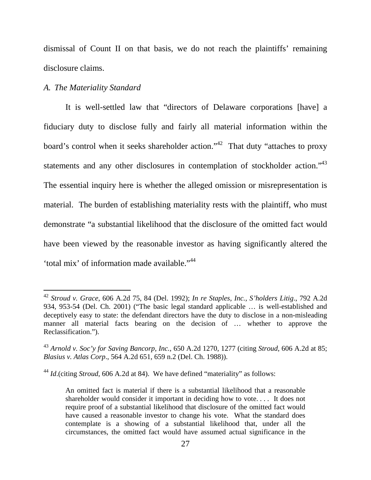dismissal of Count II on that basis, we do not reach the plaintiffs' remaining disclosure claims.

#### *A. The Materiality Standard*

 $\overline{a}$ 

It is well-settled law that "directors of Delaware corporations [have] a fiduciary duty to disclose fully and fairly all material information within the board's control when it seeks shareholder action."<sup>42</sup> That duty "attaches to proxy statements and any other disclosures in contemplation of stockholder action."<sup>43</sup> The essential inquiry here is whether the alleged omission or misrepresentation is material. The burden of establishing materiality rests with the plaintiff, who must demonstrate "a substantial likelihood that the disclosure of the omitted fact would have been viewed by the reasonable investor as having significantly altered the 'total mix' of information made available."<sup>44</sup>

<sup>42</sup> *Stroud v. Grace*, 606 A.2d 75, 84 (Del. 1992); *In re Staples, Inc., S'holders Litig*., 792 A.2d 934, 953-54 (Del. Ch. 2001) ("The basic legal standard applicable … is well-established and deceptively easy to state: the defendant directors have the duty to disclose in a non-misleading manner all material facts bearing on the decision of … whether to approve the Reclassification.").

<sup>43</sup> *Arnold v. Soc'y for Saving Bancorp, Inc.*, 650 A.2d 1270, 1277 (citing *Stroud*, 606 A.2d at 85; *Blasius v. Atlas Corp*., 564 A.2d 651, 659 n.2 (Del. Ch. 1988)).

<sup>44</sup> *Id*.(citing *Stroud*, 606 A.2d at 84). We have defined "materiality" as follows:

An omitted fact is material if there is a substantial likelihood that a reasonable shareholder would consider it important in deciding how to vote. . . . It does not require proof of a substantial likelihood that disclosure of the omitted fact would have caused a reasonable investor to change his vote. What the standard does contemplate is a showing of a substantial likelihood that, under all the circumstances, the omitted fact would have assumed actual significance in the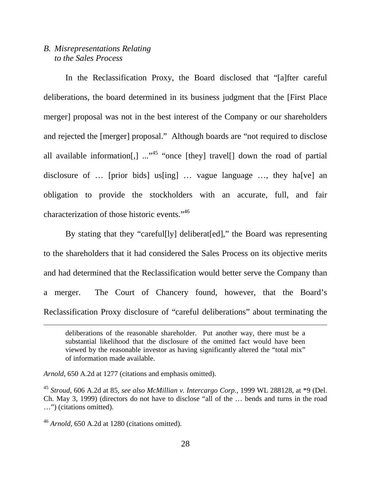### *B. Misrepresentations Relating to the Sales Process*

In the Reclassification Proxy, the Board disclosed that "[a]fter careful deliberations, the board determined in its business judgment that the [First Place merger] proposal was not in the best interest of the Company or our shareholders and rejected the [merger] proposal." Although boards are "not required to disclose all available information[,]  $\ldots$ <sup>45</sup> "once [they] travel[] down the road of partial disclosure of … [prior bids] us[ing] … vague language …, they ha[ve] an obligation to provide the stockholders with an accurate, full, and fair characterization of those historic events."<sup>46</sup>

By stating that they "careful[ly] deliberat[ed]," the Board was representing to the shareholders that it had considered the Sales Process on its objective merits and had determined that the Reclassification would better serve the Company than a merger. The Court of Chancery found, however, that the Board's Reclassification Proxy disclosure of "careful deliberations" about terminating the

*Arnold*, 650 A.2d at 1277 (citations and emphasis omitted).

 $\overline{a}$ 

deliberations of the reasonable shareholder. Put another way, there must be a substantial likelihood that the disclosure of the omitted fact would have been viewed by the reasonable investor as having significantly altered the "total mix" of information made available.

<sup>45</sup> *Stroud*, 606 A.2d at 85, *see also McMillian v. Intercargo Corp.*, 1999 WL 288128, at \*9 (Del. Ch. May 3, 1999) (directors do not have to disclose "all of the … bends and turns in the road …") (citations omitted).

<sup>46</sup> *Arnold*, 650 A.2d at 1280 (citations omitted).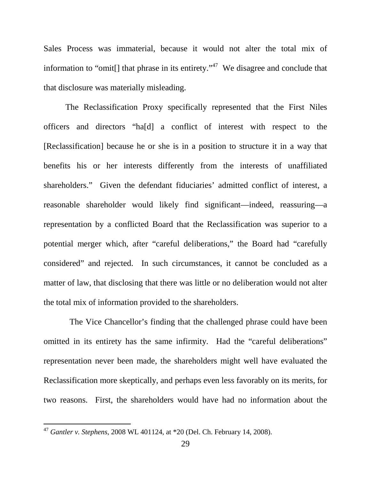Sales Process was immaterial, because it would not alter the total mix of information to "omit[] that phrase in its entirety."<sup>47</sup> We disagree and conclude that that disclosure was materially misleading.

The Reclassification Proxy specifically represented that the First Niles officers and directors "ha[d] a conflict of interest with respect to the [Reclassification] because he or she is in a position to structure it in a way that benefits his or her interests differently from the interests of unaffiliated shareholders." Given the defendant fiduciaries' admitted conflict of interest, a reasonable shareholder would likely find significant—indeed, reassuring—a representation by a conflicted Board that the Reclassification was superior to a potential merger which, after "careful deliberations," the Board had "carefully considered" and rejected. In such circumstances, it cannot be concluded as a matter of law, that disclosing that there was little or no deliberation would not alter the total mix of information provided to the shareholders.

 The Vice Chancellor's finding that the challenged phrase could have been omitted in its entirety has the same infirmity. Had the "careful deliberations" representation never been made, the shareholders might well have evaluated the Reclassification more skeptically, and perhaps even less favorably on its merits, for two reasons. First, the shareholders would have had no information about the

<sup>47</sup> *Gantler v. Stephens*, 2008 WL 401124, at \*20 (Del. Ch. February 14, 2008).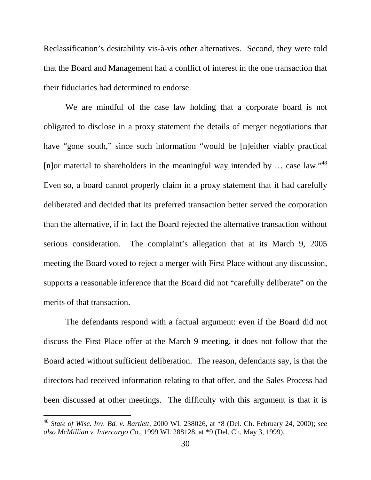Reclassification's desirability vis-à-vis other alternatives. Second, they were told that the Board and Management had a conflict of interest in the one transaction that their fiduciaries had determined to endorse.

We are mindful of the case law holding that a corporate board is not obligated to disclose in a proxy statement the details of merger negotiations that have "gone south," since such information "would be [n]either viably practical [n]or material to shareholders in the meaningful way intended by ... case law."<sup>48</sup> Even so, a board cannot properly claim in a proxy statement that it had carefully deliberated and decided that its preferred transaction better served the corporation than the alternative, if in fact the Board rejected the alternative transaction without serious consideration. The complaint's allegation that at its March 9, 2005 meeting the Board voted to reject a merger with First Place without any discussion, supports a reasonable inference that the Board did not "carefully deliberate" on the merits of that transaction.

The defendants respond with a factual argument: even if the Board did not discuss the First Place offer at the March 9 meeting, it does not follow that the Board acted without sufficient deliberation. The reason, defendants say, is that the directors had received information relating to that offer, and the Sales Process had been discussed at other meetings. The difficulty with this argument is that it is

<sup>48</sup> *State of Wisc. Inv. Bd. v. Bartlett*, 2000 WL 238026, at \*8 (Del. Ch. February 24, 2000); *see also McMillian v. Intercargo Co*., 1999 WL 288128, at \*9 (Del. Ch. May 3, 1999).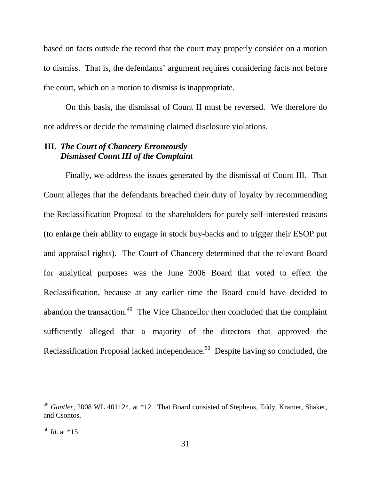based on facts outside the record that the court may properly consider on a motion to dismiss. That is, the defendants' argument requires considering facts not before the court, which on a motion to dismiss is inappropriate.

On this basis, the dismissal of Count II must be reversed. We therefore do not address or decide the remaining claimed disclosure violations.

# **III.** *The Court of Chancery Erroneously Dismissed Count III of the Complaint*

 Finally, we address the issues generated by the dismissal of Count III. That Count alleges that the defendants breached their duty of loyalty by recommending the Reclassification Proposal to the shareholders for purely self-interested reasons (to enlarge their ability to engage in stock buy-backs and to trigger their ESOP put and appraisal rights). The Court of Chancery determined that the relevant Board for analytical purposes was the June 2006 Board that voted to effect the Reclassification, because at any earlier time the Board could have decided to abandon the transaction.<sup>49</sup> The Vice Chancellor then concluded that the complaint sufficiently alleged that a majority of the directors that approved the Reclassification Proposal lacked independence.<sup>50</sup> Despite having so concluded, the

<sup>49</sup> *Gantler*, 2008 WL 401124, at \*12. That Board consisted of Stephens, Eddy, Kramer, Shaker, and Csontos.

<sup>50</sup> *Id*. at \*15.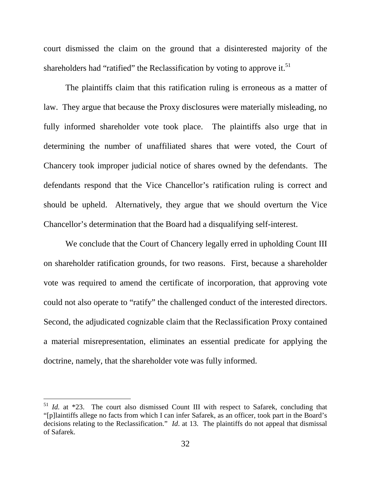court dismissed the claim on the ground that a disinterested majority of the shareholders had "ratified" the Reclassification by voting to approve it.<sup>51</sup>

The plaintiffs claim that this ratification ruling is erroneous as a matter of law. They argue that because the Proxy disclosures were materially misleading, no fully informed shareholder vote took place. The plaintiffs also urge that in determining the number of unaffiliated shares that were voted, the Court of Chancery took improper judicial notice of shares owned by the defendants. The defendants respond that the Vice Chancellor's ratification ruling is correct and should be upheld. Alternatively, they argue that we should overturn the Vice Chancellor's determination that the Board had a disqualifying self-interest.

We conclude that the Court of Chancery legally erred in upholding Count III on shareholder ratification grounds, for two reasons. First, because a shareholder vote was required to amend the certificate of incorporation, that approving vote could not also operate to "ratify" the challenged conduct of the interested directors. Second, the adjudicated cognizable claim that the Reclassification Proxy contained a material misrepresentation, eliminates an essential predicate for applying the doctrine, namely, that the shareholder vote was fully informed.

<sup>&</sup>lt;sup>51</sup> *Id.* at \*23. The court also dismissed Count III with respect to Safarek, concluding that "[p]laintiffs allege no facts from which I can infer Safarek, as an officer, took part in the Board's decisions relating to the Reclassification." *Id*. at 13. The plaintiffs do not appeal that dismissal of Safarek.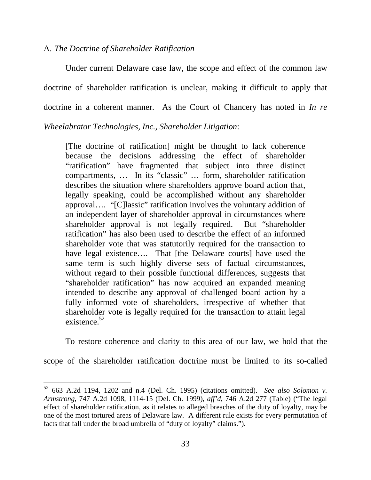### A. *The Doctrine of Shareholder Ratification*

Under current Delaware case law, the scope and effect of the common law doctrine of shareholder ratification is unclear, making it difficult to apply that doctrine in a coherent manner. As the Court of Chancery has noted in *In re Wheelabrator Technologies, Inc., Shareholder Litigation*:

[The doctrine of ratification] might be thought to lack coherence because the decisions addressing the effect of shareholder "ratification" have fragmented that subject into three distinct compartments, … In its "classic" … form, shareholder ratification describes the situation where shareholders approve board action that, legally speaking, could be accomplished without any shareholder approval…. "[C]lassic" ratification involves the voluntary addition of an independent layer of shareholder approval in circumstances where shareholder approval is not legally required. But "shareholder ratification" has also been used to describe the effect of an informed shareholder vote that was statutorily required for the transaction to have legal existence.... That [the Delaware courts] have used the same term is such highly diverse sets of factual circumstances, without regard to their possible functional differences, suggests that "shareholder ratification" has now acquired an expanded meaning intended to describe any approval of challenged board action by a fully informed vote of shareholders, irrespective of whether that shareholder vote is legally required for the transaction to attain legal existence. $52$ 

To restore coherence and clarity to this area of our law, we hold that the

scope of the shareholder ratification doctrine must be limited to its so-called

 $\overline{a}$ <sup>52</sup> 663 A.2d 1194, 1202 and n.4 (Del. Ch. 1995) (citations omitted). *See also Solomon v. Armstrong*, 747 A.2d 1098, 1114-15 (Del. Ch. 1999), *aff'd*, 746 A.2d 277 (Table) ("The legal effect of shareholder ratification, as it relates to alleged breaches of the duty of loyalty, may be one of the most tortured areas of Delaware law. A different rule exists for every permutation of facts that fall under the broad umbrella of "duty of loyalty" claims.").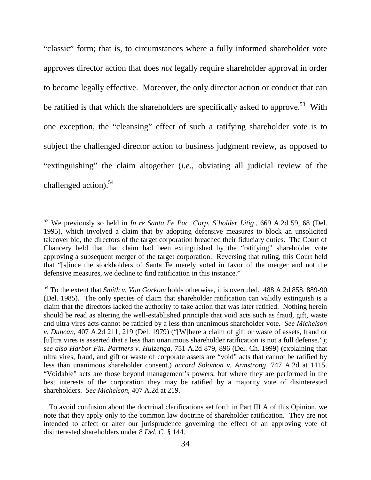"classic" form; that is, to circumstances where a fully informed shareholder vote approves director action that does *not* legally require shareholder approval in order to become legally effective. Moreover, the only director action or conduct that can be ratified is that which the shareholders are specifically asked to approve.<sup>53</sup> With one exception, the "cleansing" effect of such a ratifying shareholder vote is to subject the challenged director action to business judgment review, as opposed to "extinguishing" the claim altogether (*i.e.*, obviating all judicial review of the challenged action).<sup>54</sup>

-

 To avoid confusion about the doctrinal clarifications set forth in Part III A of this Opinion, we note that they apply only to the common law doctrine of shareholder ratification. They are not intended to affect or alter our jurisprudence governing the effect of an approving vote of disinterested shareholders under 8 *Del. C.* § 144.

<sup>53</sup> We previously so held in *In re Santa Fe Pac. Corp. S'holder Litig*., 669 A.2d 59, 68 (Del. 1995), which involved a claim that by adopting defensive measures to block an unsolicited takeover bid, the directors of the target corporation breached their fiduciary duties. The Court of Chancery held that that claim had been extinguished by the "ratifying" shareholder vote approving a subsequent merger of the target corporation. Reversing that ruling, this Court held that "[s]ince the stockholders of Santa Fe merely voted in favor of the merger and not the defensive measures, we decline to find ratification in this instance."

<sup>54</sup> To the extent that *Smith v. Van Gorkom* holds otherwise, it is overruled. 488 A.2d 858, 889-90 (Del. 1985).The only species of claim that shareholder ratification can validly extinguish is a claim that the directors lacked the authority to take action that was later ratified. Nothing herein should be read as altering the well-established principle that void acts such as fraud, gift, waste and ultra vires acts cannot be ratified by a less than unanimous shareholder vote. *See Michelson v. Duncan*, 407 A.2d 211, 219 (Del. 1979) ("[W]here a claim of gift or waste of assets, fraud or [u]ltra vires is asserted that a less than unanimous shareholder ratification is not a full defense."); *see also Harbor Fin. Partners v. Huizenga*, 751 A.2d 879, 896 (Del. Ch. 1999) (explaining that ultra vires, fraud, and gift or waste of corporate assets are "void" acts that cannot be ratified by less than unanimous shareholder consent.) *accord Solomon v. Armstrong*, 747 A.2d at 1115. "Voidable" acts are those beyond management's powers, but where they are performed in the best interests of the corporation they may be ratified by a majority vote of disinterested shareholders. *See Michelson*, 407 A.2d at 219.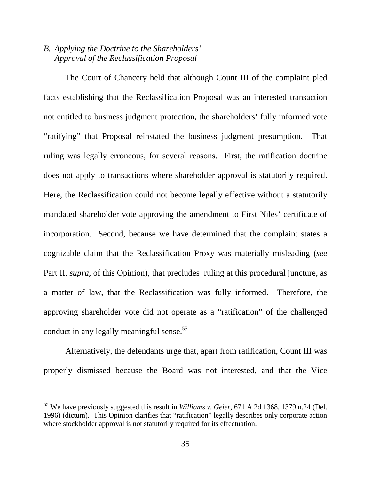# *B. Applying the Doctrine to the Shareholders' Approval of the Reclassification Proposal*

 The Court of Chancery held that although Count III of the complaint pled facts establishing that the Reclassification Proposal was an interested transaction not entitled to business judgment protection, the shareholders' fully informed vote "ratifying" that Proposal reinstated the business judgment presumption. That ruling was legally erroneous, for several reasons. First, the ratification doctrine does not apply to transactions where shareholder approval is statutorily required. Here, the Reclassification could not become legally effective without a statutorily mandated shareholder vote approving the amendment to First Niles' certificate of incorporation. Second, because we have determined that the complaint states a cognizable claim that the Reclassification Proxy was materially misleading (*see* Part II, *supra*, of this Opinion), that precludes ruling at this procedural juncture, as a matter of law, that the Reclassification was fully informed. Therefore, the approving shareholder vote did not operate as a "ratification" of the challenged conduct in any legally meaningful sense.<sup>55</sup>

 Alternatively, the defendants urge that, apart from ratification, Count III was properly dismissed because the Board was not interested, and that the Vice

<sup>55</sup> We have previously suggested this result in *Williams v. Geier*, 671 A.2d 1368, 1379 n.24 (Del. 1996) (dictum). This Opinion clarifies that "ratification" legally describes only corporate action where stockholder approval is not statutorily required for its effectuation.